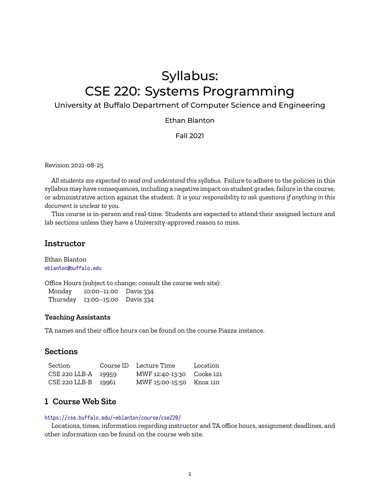# Syllabus: CSE 220: Systems Programming

# University at Buffalo Department of Computer Science and Engineering

Ethan Blanton

Fall 2021

Revision 2021-08-25

*All students are expected to read and understand this syllabus.* Failure to adhere to the policies in this syllabus may have consequences, including a negative impact on student grades, failure in the course, or administrative action against the student. *It is your responsibility to ask questions if anything in this document is unclear to you.*

This course is in-person and real-time. Students are expected to attend their assigned lecture and lab sections unless they have a University-approved reason to miss.

## **Instructor**

Ethan Blanton <eblanton@buffalo.edu>

Office Hours (subject to change; consult the course web site):

| Monday | 10:00–11:00 Davis 334          |  |
|--------|--------------------------------|--|
|        | Thursday 13:00-15:00 Davis 334 |  |

#### **Teaching Assistants**

TA names and their office hours can be found on the course Piazza instance.

## **Sections**

| Section             | Course ID Lecture Time    | Location |
|---------------------|---------------------------|----------|
| CSE 220 LLB-A 19959 | MWF 12:40-13:30 Cooke 121 |          |
| CSE 220 LLB-B 19961 | MWF 15:00-15:50 Knox 110  |          |

## **1 Course Web Site**

#### <https://cse.buffalo.edu/~eblanton/course/cse220/>

Locations, times, information regarding instructor and TA office hours, assignment deadlines, and other information can be found on the course web site.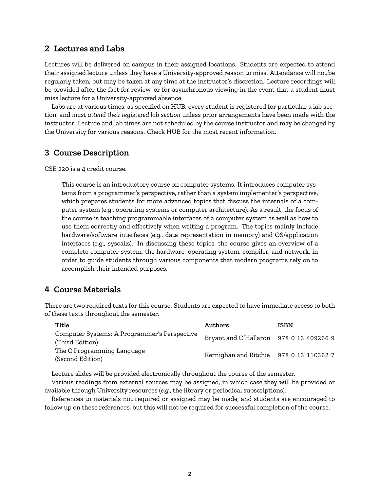# **2 Lectures and Labs**

Lectures will be delivered on campus in their assigned locations. Students are expected to attend their assigned lecture unless they have a University-approved reason to miss. Attendance will not be regularly taken, but may be taken at any time at the instructor's discretion. Lecture recordings will be provided after the fact for review, or for asynchronous viewing in the event that a student must miss lecture for a University-approved absence.

Labs are at various times, as specified on HUB; every student is registered for particular a lab section, and *must attend their registered lab section* unless prior arrangements have been made with the instructor. Lecture and lab times are not scheduled by the course instructor and may be changed by the University for various reasons. Check HUB for the most recent information.

## **3 Course Description**

CSE 220 is a 4 credit course.

This course is an introductory course on computer systems. It introduces computer systems from a programmer's perspective, rather than a system implementer's perspective, which prepares students for more advanced topics that discuss the internals of a computer system (e.g., operating systems or computer architecture). As a result, the focus of the course is teaching programmable interfaces of a computer system as well as how to use them correctly and effectively when writing a program. The topics mainly include hardware/software interfaces (e.g., data representation in memory) and OS/application interfaces (e.g., syscalls). In discussing these topics, the course gives an overview of a complete computer system, the hardware, operating system, compiler, and network, in order to guide students through various components that modern programs rely on to accomplish their intended purposes.

# **4 Course Materials**

There are two required texts for this course. Students are expected to have immediate access to both of these texts throughout the semester.

| Title                                                           | Authors                                 | <b>ISBN</b> |
|-----------------------------------------------------------------|-----------------------------------------|-------------|
| Computer Systems: A Programmer's Perspective<br>(Third Edition) | Bryant and O'Hallaron 978-0-13-409266-9 |             |
| The C Programming Language<br>(Second Edition)                  | Kernighan and Ritchie 978-0-13-110362-7 |             |

Lecture slides will be provided electronically throughout the course of the semester.

Various readings from external sources may be assigned, in which case they will be provided or available through University resources (*e.g.*, the library or periodical subscriptions).

References to materials not required or assigned may be made, and students are encouraged to follow up on these references, but this will not be required for successful completion of the course.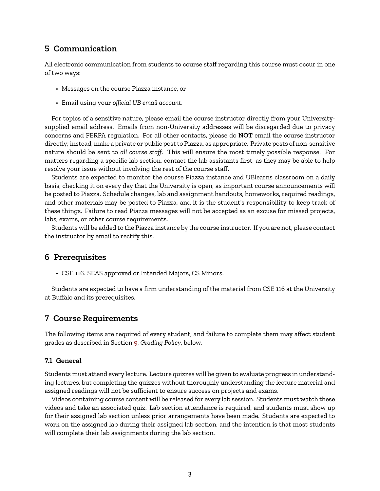# **5 Communication**

All electronic communication from students to course staff regarding this course must occur in one of two ways:

- Messages on the course Piazza instance, or
- Email using your *official UB email account*.

For topics of a sensitive nature, please email the course instructor directly from your Universitysupplied email address. Emails from non-University addresses will be disregarded due to privacy concerns and FERPA regulation. For all other contacts, please do **NOT** email the course instructor directly; instead, make a private or public post to Piazza, as appropriate. Private posts of non-sensitive nature should be sent to *all course staff*. This will ensure the most timely possible response. For matters regarding a specific lab section, contact the lab assistants first, as they may be able to help resolve your issue without involving the rest of the course staff.

Students are expected to monitor the course Piazza instance and UBlearns classroom on a daily basis, checking it on every day that the University is open, as important course announcements will be posted to Piazza. Schedule changes, lab and assignment handouts, homeworks, required readings, and other materials may be posted to Piazza, and it is the student's responsibility to keep track of these things. Failure to read Piazza messages will not be accepted as an excuse for missed projects, labs, exams, or other course requirements.

Students will be added to the Piazza instance by the course instructor. If you are not, please contact the instructor by email to rectify this.

# **6 Prerequisites**

• CSE 116. SEAS approved or Intended Majors, CS Minors.

Students are expected to have a firm understanding of the material from CSE 116 at the University at Buffalo and its prerequisites.

# **7 Course Requirements**

The following items are required of every student, and failure to complete them may affect student grades as described in Section [9,](#page-7-0) *Grading Policy*, below.

#### **7.1 General**

Students must attend every lecture. Lecture quizzes will be given to evaluate progress in understanding lectures, but completing the quizzes without thoroughly understanding the lecture material and assigned readings will not be sufficient to ensure success on projects and exams.

Videos containing course content will be released for every lab session. Students must watch these videos and take an associated quiz. Lab section attendance is required, and students must show up for their assigned lab section unless prior arrangements have been made. Students are expected to work on the assigned lab during their assigned lab section, and the intention is that most students will complete their lab assignments during the lab section.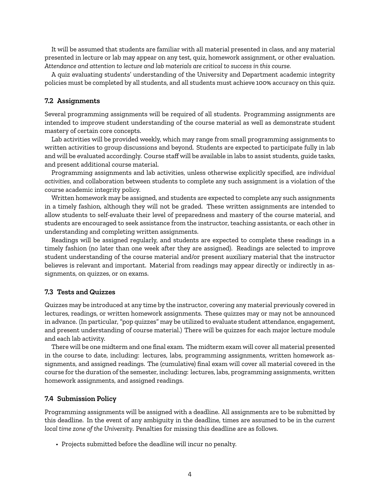It will be assumed that students are familiar with all material presented in class, and any material presented in lecture or lab may appear on any test, quiz, homework assignment, or other evaluation. *Attendance and attention to lecture and lab materials are critical to success in this course.*

A quiz evaluating students' understanding of the University and Department academic integrity policies must be completed by all students, and all students must achieve 100% accuracy on this quiz.

#### **7.2 Assignments**

Several programming assignments will be required of all students. Programming assignments are intended to improve student understanding of the course material as well as demonstrate student mastery of certain core concepts.

Lab activities will be provided weekly, which may range from small programming assignments to written activities to group discussions and beyond. Students are expected to participate fully in lab and will be evaluated accordingly. Course staff will be available in labs to assist students, guide tasks, and present additional course material.

Programming assignments and lab activities, unless otherwise explicitly specified, are *individual activities*, and collaboration between students to complete any such assignment is a violation of the course academic integrity policy.

Written homework may be assigned, and students are expected to complete any such assignments in a timely fashion, although they will not be graded. These written assignments are intended to allow students to self-evaluate their level of preparedness and mastery of the course material, and students are encouraged to seek assistance from the instructor, teaching assistants, or each other in understanding and completing written assignments.

Readings will be assigned regularly, and students are expected to complete these readings in a timely fashion (no later than one week after they are assigned). Readings are selected to improve student understanding of the course material and/or present auxiliary material that the instructor believes is relevant and important. Material from readings may appear directly or indirectly in assignments, on quizzes, or on exams.

#### **7.3 Tests and Quizzes**

Quizzes may be introduced at any time by the instructor, covering any material previously covered in lectures, readings, or written homework assignments. These quizzes may or may not be announced in advance. (In particular, "pop quizzes" may be utilized to evaluate student attendance, engagement, and present understanding of course material.) There will be quizzes for each major lecture module and each lab activity.

There will be one midterm and one final exam. The midterm exam will cover all material presented in the course to date, including: lectures, labs, programming assignments, written homework assignments, and assigned readings. The (cumulative) final exam will cover all material covered in the course for the duration of the semester, including: lectures, labs, programming assignments, written homework assignments, and assigned readings.

#### **7.4 Submission Policy**

Programming assignments will be assigned with a deadline. All assignments are to be submitted by this deadline. In the event of any ambiguity in the deadline, times are assumed to be in the *current local time zone of the University*. Penalties for missing this deadline are as follows.

• Projects submitted before the deadline will incur no penalty.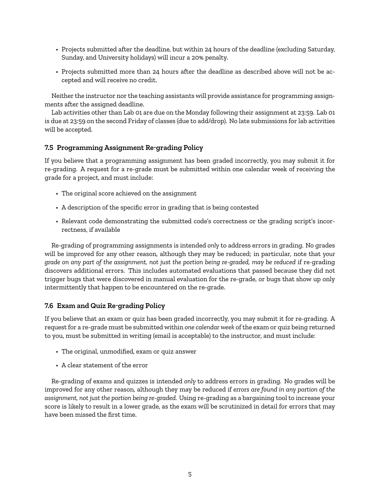- Projects submitted after the deadline, but within 24 hours of the deadline (excluding Saturday, Sunday, and University holidays) will incur a 20% penalty.
- Projects submitted more than 24 hours after the deadline as described above will not be accepted and will receive no credit.

Neither the instructor nor the teaching assistants will provide assistance for programming assignments after the assigned deadline.

Lab activities other than Lab 01 are due on the Monday following their assignment at 23:59. Lab 01 is due at 23:59 on the second Friday of classes (due to add/drop). No late submissions for lab activities will be accepted.

## <span id="page-4-0"></span>**7.5 Programming Assignment Re-grading Policy**

If you believe that a programming assignment has been graded incorrectly, you may submit it for re-grading. A request for a re-grade must be submitted within one calendar week of receiving the grade for a project, and must include:

- The original score achieved on the assignment
- A description of the specific error in grading that is being contested
- Relevant code demonstrating the submitted code's correctness or the grading script's incorrectness, if available

Re-grading of programming assignments is intended *only* to address errors in grading. No grades will be improved for any other reason, although they may be reduced; in particular, note that *your grade on any part of the assignment, not just the portion being re-graded, may be reduced* if re-grading discovers additional errors. This includes automated evaluations that passed because they did not trigger bugs that were discovered in manual evaluation for the re-grade, or bugs that show up only intermittently that happen to be encountered on the re-grade.

## <span id="page-4-1"></span>**7.6 Exam and Quiz Re-grading Policy**

If you believe that an exam or quiz has been graded incorrectly, you may submit it for re-grading. A request for a re-grade must be submitted within *one calendar week* of the exam or quiz being returned to you, must be submitted in writing (email is acceptable) to the instructor, and must include:

- The original, unmodified, exam or quiz answer
- A clear statement of the error

Re-grading of exams and quizzes is intended *only* to address errors in grading. No grades will be improved for any other reason, although they may be reduced if *errors are found in any portion of the assignment, not just the portion being re-graded.* Using re-grading as a bargaining tool to increase your score is likely to result in a lower grade, as the exam will be scrutinized in detail for errors that may have been missed the first time.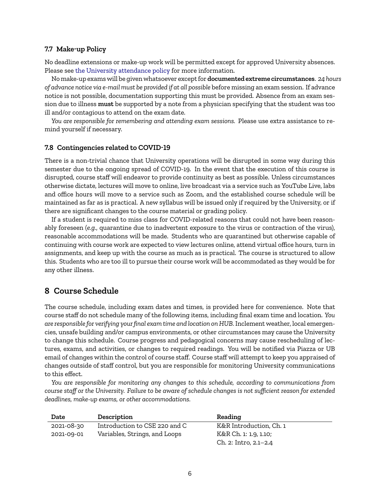### **7.7 Make-up Policy**

No deadline extensions or make-up work will be permitted except for approved University absences. Please see [the University attendance policy](https://catalog.buffalo.edu/policies/attendance.html) for more information.

No make-up exams will be given whatsoever except for **documented extreme circumstances**. *24 hours of advance notice via e-mail must be provided if at all possible* before missing an exam session. If advance notice is not possible, documentation supporting this must be provided. Absence from an exam session due to illness **must** be supported by a note from a physician specifying that the student was too ill and/or contagious to attend on the exam date.

*You are responsible for remembering and attending exam sessions.* Please use extra assistance to remind yourself if necessary.

#### **7.8 Contingencies related to COVID-19**

There is a non-trivial chance that University operations will be disrupted in some way during this semester due to the ongoing spread of COVID-19. In the event that the execution of this course is disrupted, course staff will endeavor to provide continuity as best as possible. Unless circumstances otherwise dictate, lectures will move to online, live broadcast via a service such as YouTube Live, labs and office hours will move to a service such as Zoom, and the established course schedule will be maintained as far as is practical. A new syllabus will be issued only if required by the University, or if there are significant changes to the course material or grading policy.

If a student is required to miss class for COVID-related reasons that could not have been reasonably foreseen (*e.g.*, quarantine due to inadvertent exposure to the virus or contraction of the virus), reasonable accommodations will be made. Students who are quarantined but otherwise capable of continuing with course work are expected to view lectures online, attend virtual office hours, turn in assignments, and keep up with the course as much as is practical. The course is structured to allow this. Students who are too ill to pursue their course work will be accommodated as they would be for any other illness.

# **8 Course Schedule**

The course schedule, including exam dates and times, is provided here for convenience. Note that course staff do not schedule many of the following items, including final exam time and location. *You are responsible for verifying your final exam time and location on HUB.* Inclement weather, local emergencies, unsafe building and/or campus environments, or other circumstances may cause the University to change this schedule. Course progress and pedagogical concerns may cause rescheduling of lectures, exams, and activities, or changes to required readings. You will be notified via Piazza or UB email of changes within the control of course staff. Course staff will attempt to keep you appraised of changes outside of staff control, but you are responsible for monitoring University communications to this effect.

*You are responsible for monitoring any changes to this schedule, according to communications from course staff or the University. Failure to be aware of schedule changes is not sufficient reason for extended deadlines, make-up exams, or other accommodations.*

| Date       | Description                   | Reading                 |
|------------|-------------------------------|-------------------------|
| 2021-08-30 | Introduction to CSE 220 and C | K&R Introduction, Ch. 1 |
| 2021-09-01 | Variables, Strings, and Loops | K&R Ch. 1: 1.9, 1.10;   |
|            |                               | Ch. 2: Intro, 2.1–2.4   |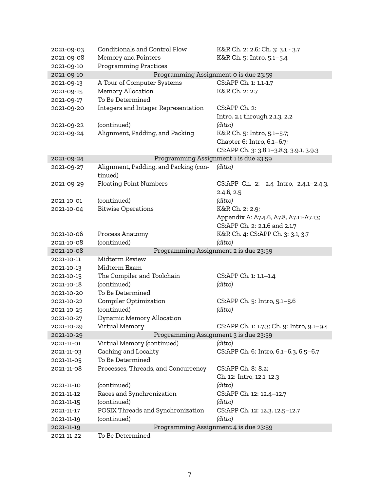| 2021-09-03 | Conditionals and Control Flow         | K&R Ch. 2: 2.6; Ch. 3: 3.1 - 3.7           |
|------------|---------------------------------------|--------------------------------------------|
| 2021-09-08 | Memory and Pointers                   | K&R Ch. 5: Intro, 5.1-5.4                  |
| 2021-09-10 | <b>Programming Practices</b>          |                                            |
| 2021-09-10 |                                       | Programming Assignment 0 is due 23:59      |
| 2021-09-13 | A Tour of Computer Systems            | CS:APP Ch. 1: 1.1-1.7                      |
| 2021-09-15 | Memory Allocation                     | K&R Ch. 2: 2.7                             |
| 2021-09-17 | To Be Determined                      |                                            |
| 2021-09-20 | Integers and Integer Representation   | CS:APP Ch. 2:                              |
|            |                                       | Intro, 2.1 through 2.1.3, 2.2              |
| 2021-09-22 | (continued)                           | (ditto)                                    |
| 2021-09-24 | Alignment, Padding, and Packing       | K&R Ch. 5: Intro, 5.1-5.7;                 |
|            |                                       | Chapter 6: Intro, 6.1-6.7;                 |
|            |                                       | CS:APP Ch. 3: 3.8.1-3.8.3, 3.9.1, 3.9.3    |
| 2021-09-24 |                                       | Programming Assignment 1 is due 23:59      |
| 2021-09-27 | Alignment, Padding, and Packing (con- | (ditto)                                    |
|            | tinued)                               |                                            |
| 2021-09-29 | <b>Floating Point Numbers</b>         | CS:APP Ch. 2: 2.4 Intro, 2.4.1-2.4.3,      |
|            |                                       | 2.4.6, 2.5                                 |
| 2021-10-01 | (continued)                           | (ditto)                                    |
| 2021-10-04 | <b>Bitwise Operations</b>             | K&R Ch. 2: 2.9;                            |
|            |                                       | Appendix A: A7.4.6, A7.8, A7.11-A7.13;     |
|            |                                       | CS:APP Ch. 2: 2.1.6 and 2.1.7              |
| 2021-10-06 | Process Anatomy                       | K&R Ch. 4; CS:APP Ch. 3: 3.1, 3.7          |
| 2021-10-08 | (continued)                           | (ditto)                                    |
| 2021-10-08 |                                       | Programming Assignment 2 is due 23:59      |
| 2021-10-11 | Midterm Review                        |                                            |
| 2021-10-13 | Midterm Exam                          |                                            |
| 2021-10-15 | The Compiler and Toolchain            | CS:APP Ch. 1: 1.1-1.4                      |
| 2021-10-18 | (continued)                           | (ditto)                                    |
| 2021-10-20 | To Be Determined                      |                                            |
| 2021-10-22 | Compiler Optimization                 | CS:APP Ch. 5: Intro, 5.1-5.6               |
| 2021-10-25 | (continued)                           | (ditto)                                    |
| 2021-10-27 | Dynamic Memory Allocation             |                                            |
| 2021-10-29 | Virtual Memory                        | CS:APP Ch. 1: 1.7.3; Ch. 9: Intro, 9.1-9.4 |
| 2021-10-29 |                                       | Programming Assignment 3 is due 23:59      |
| 2021-11-01 | Virtual Memory (continued)            | (ditto)                                    |
| 2021-11-03 | Caching and Locality                  | CS:APP Ch. 6: Intro, 6.1-6.3, 6.5-6.7      |
| 2021-11-05 | To Be Determined                      |                                            |
| 2021-11-08 | Processes, Threads, and Concurrency   | CS:APP Ch. 8: 8.2;                         |
|            |                                       | Ch. 12: Intro, 12.1, 12.3                  |
| 2021-11-10 | (continued)                           | (ditto)                                    |
| 2021-11-12 | Races and Synchronization             | CS:APP Ch. 12: 12.4-12.7                   |
| 2021-11-15 | (continued)                           | (ditto)                                    |
| 2021-11-17 | POSIX Threads and Synchronization     | CS:APP Ch. 12: 12.3, 12.5-12.7             |
| 2021-11-19 | (continued)                           | (ditto)                                    |
| 2021-11-19 |                                       | Programming Assignment 4 is due 23:59      |
| 2021-11-22 | To Be Determined                      |                                            |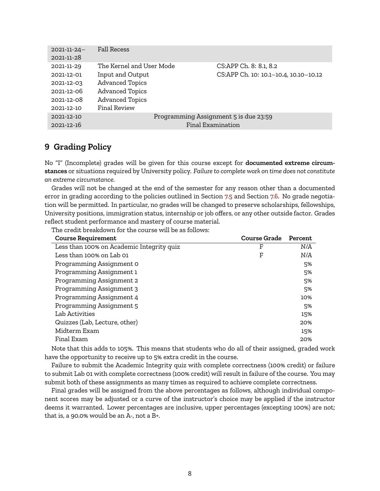| $2021 - 11 - 24 -$ | <b>Fall Recess</b>       |                                       |  |
|--------------------|--------------------------|---------------------------------------|--|
| 2021-11-28         |                          |                                       |  |
| 2021-11-29         | The Kernel and User Mode | CS:APP Ch. 8: 8.1, 8.2                |  |
| 2021-12-01         | Input and Output         | CS:APP Ch. 10: 10.1-10.4, 10.10-10.12 |  |
| 2021-12-03         | <b>Advanced Topics</b>   |                                       |  |
| 2021-12-06         | <b>Advanced Topics</b>   |                                       |  |
| 2021-12-08         | <b>Advanced Topics</b>   |                                       |  |
| 2021-12-10         | Final Review             |                                       |  |
| 2021-12-10         |                          | Programming Assignment 5 is due 23:59 |  |
| 2021-12-16         |                          | Final Examination                     |  |
|                    |                          |                                       |  |

## <span id="page-7-0"></span>**9 Grading Policy**

No "I" (Incomplete) grades will be given for this course except for **documented extreme circumstances** or situations required by University policy. *Failure to complete work on time does not constitute an extreme circumstance.*

Grades will not be changed at the end of the semester for any reason other than a documented error in grading according to the policies outlined in Section [7.5](#page-4-0) and Section [7.6](#page-4-1). No grade negotiation will be permitted. In particular, no grades will be changed to preserve scholarships, fellowships, University positions, immigration status, internship or job offers, or any other outside factor. Grades reflect student performance and mastery of course material.

The credit breakdown for the course will be as follows:

| <b>Course Requirement</b>                 | <b>Course Grade</b> | <b>Percent</b> |
|-------------------------------------------|---------------------|----------------|
| Less than 100% on Academic Integrity quiz | F                   | N/A            |
| Less than 100% on Lab 01                  | F                   | N/A            |
| Programming Assignment O                  |                     | 5%             |
| Programming Assignment 1                  |                     | 5%             |
| Programming Assignment 2                  |                     | 5%             |
| Programming Assignment 3                  |                     | 5%             |
| Programming Assignment 4                  |                     | 10%            |
| Programming Assignment 5                  |                     | 5%             |
| Lab Activities                            |                     | 15%            |
| Quizzes (Lab, Lecture, other)             |                     | 20%            |
| Midterm Exam                              |                     | 15%            |
| Final Exam                                |                     | 20%            |
|                                           |                     |                |

Note that this adds to 105%. This means that students who do all of their assigned, graded work have the opportunity to receive up to 5% extra credit in the course.

Failure to submit the Academic Integrity quiz with complete correctness (100% credit) or failure to submit Lab 01 with complete correctness (100% credit) will result in failure of the course. You may submit both of these assignments as many times as required to achieve complete correctness.

Final grades will be assigned from the above percentages as follows, although individual component scores may be adjusted or a curve of the instructor's choice may be applied if the instructor deems it warranted. Lower percentages are inclusive, upper percentages (excepting 100%) are not; that is, a 90.0% would be an A-, not a B+.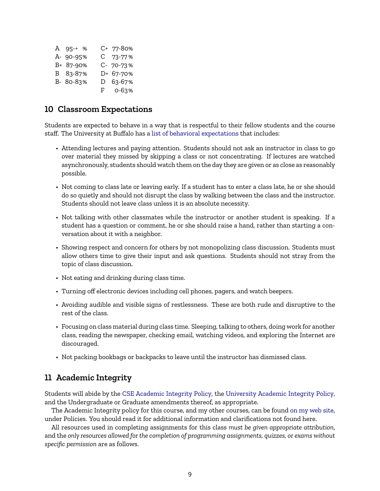| A 95-+ %  | C+ 77-80% |
|-----------|-----------|
| A- 90-95% | C 73-77%  |
| B+ 87-90% | C- 70-73% |
| B 83-87%  | D+ 67-70% |
| B- 80-83% | D 63-67%  |
|           | F 0-63%   |

## **10 Classroom Expectations**

Students are expected to behave in a way that is respectful to their fellow students and the course staff. The University at Buffalo has a [list of behavioral expectations](https://catalog.buffalo.edu/policies/obstruction.html) that includes:

- Attending lectures and paying attention. Students should not ask an instructor in class to go over material they missed by skipping a class or not concentrating. If lectures are watched asynchronously, students should watch them on the day they are given or as close as reasonably possible.
- Not coming to class late or leaving early. If a student has to enter a class late, he or she should do so quietly and should not disrupt the class by walking between the class and the instructor. Students should not leave class unless it is an absolute necessity.
- Not talking with other classmates while the instructor or another student is speaking. If a student has a question or comment, he or she should raise a hand, rather than starting a conversation about it with a neighbor.
- Showing respect and concern for others by not monopolizing class discussion. Students must allow others time to give their input and ask questions. Students should not stray from the topic of class discussion.
- Not eating and drinking during class time.
- Turning off electronic devices including cell phones, pagers, and watch beepers.
- Avoiding audible and visible signs of restlessness. These are both rude and disruptive to the rest of the class.
- Focusing on class material during class time. Sleeping, talking to others, doing work for another class, reading the newspaper, checking email, watching videos, and exploring the Internet are discouraged.
- Not packing bookbags or backpacks to leave until the instructor has dismissed class.

# **11 Academic Integrity**

Students will abide by the [CSE Academic Integrity Policy,](https://engineering.buffalo.edu/computer-science-engineering/information-for-students/academics/academic-integrity.html) the [University Academic Integrity Policy,](https://catalog.buffalo.edu/policies/integrity.html) and the Undergraduate or Graduate amendments thereof, as appropriate.

The Academic Integrity policy for this course, and my other courses, can be found [on my web site,](https://cse.buffalo.edu/~eblanton/policy/academic_integrity/) under Policies. You should read it for additional information and clarifications not found here.

All resources used in completing assignments for this class *must be given appropriate attribution*, and the *only resources allowed for the completion of programming assignments, quizzes, or exams without specific permission* are as follows.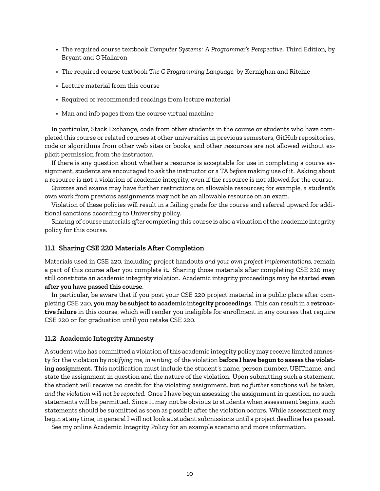- The required course textbook *Computer Systems: A Programmer's Perspective*, Third Edition, by Bryant and O'Hallaron
- The required course textbook *The C Programming Language,* by Kernighan and Ritchie
- Lecture material from this course
- Required or recommended readings from lecture material
- Man and info pages from the course virtual machine

In particular, Stack Exchange, code from other students in the course or students who have completed this course or related courses at other universities in previous semesters, GitHub repositories, code or algorithms from other web sites or books, and other resources are not allowed without explicit permission from the instructor.

If there is any question about whether a resource is acceptable for use in completing a course assignment, students are encouraged to ask the instructor or a TA *before* making use of it. Asking about a resource is **not** a violation of academic integrity, even if the resource is not allowed for the course.

Quizzes and exams may have further restrictions on allowable resources; for example, a student's own work from previous assignments may not be an allowable resource on an exam.

Violation of these policies will result in a failing grade for the course and referral upward for additional sanctions according to University policy.

Sharing of course materials *after* completing this course is also a violation of the academic integrity policy for this course.

#### **11.1 Sharing CSE 220 Materials After Completion**

Materials used in CSE 220, including project handouts *and your own project implementations*, remain a part of this course after you complete it. Sharing those materials after completing CSE 220 may still constitute an academic integrity violation. Academic integrity proceedings may be started **even after you have passed this course**.

In particular, be aware that if you post your CSE 220 project material in a public place after completing CSE 220, **you may be subject to academic integrity proceedings**. This can result in a **retroactive failure** in this course, which will render you ineligible for enrollment in any courses that require CSE 220 or for graduation until you retake CSE 220.

#### **11.2 Academic Integrity Amnesty**

A student who has committed a violation of this academic integrity policy may receive limited amnesty for the violation by *notifying me, in writing,* of the violation **before I have begun to assess the violating assignment**. This notification must include the student's name, person number, UBITname, and state the assignment in question and the nature of the violation. Upon submitting such a statement, the student will receive no credit for the violating assignment, but *no further sanctions will be taken, and the violation will not be reported*. Once I have begun assessing the assignment in question, no such statements will be permitted. Since it may not be obvious to students when assessment begins, such statements should be submitted as soon as possible after the violation occurs. While assessment may begin at any time, in general I will not look at student submissions until a project deadline has passed.

See my online Academic Integrity Policy for an example scenario and more information.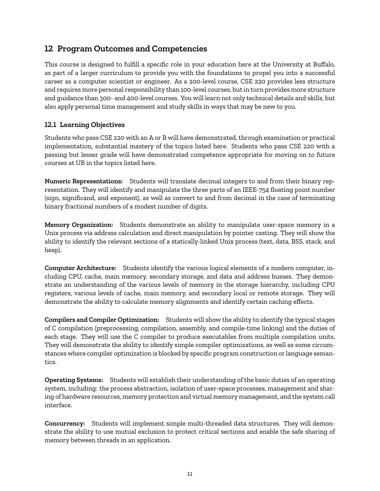# **12 Program Outcomes and Competencies**

This course is designed to fulfill a specific role in your education here at the University at Buffalo, as part of a larger curriculum to provide you with the foundations to propel you into a successful career as a computer scientist or engineer. As a 200-level course, CSE 220 provides less structure and requires more personal responsibility than 100-level courses, but in turn provides more structure and guidance than 300- and 400-level courses. You will learn not only technical details and skills, but also apply personal time management and study skills in ways that may be new to you.

## **12.1 Learning Objectives**

Students who pass CSE 220 with an A or B will have demonstrated, through examination or practical implementation, substantial mastery of the topics listed here. Students who pass CSE 220 with a passing but lesser grade will have demonstrated competence appropriate for moving on to future courses at UB in the topics listed here.

**Numeric Representations:** Students will translate decimal integers to and from their binary representation. They will identify and manipulate the three parts of an IEEE-754 floating point number (sign, significand, and exponent), as well as convert to and from decimal in the case of terminating binary fractional numbers of a modest number of digits.

**Memory Organization:** Students demonstrate an ability to manipulate user-space memory in a Unix process via address calculation and direct manipulation by pointer casting. They will show the ability to identify the relevant sections of a statically-linked Unix process (text, data, BSS, stack, and heap).

**Computer Architecture:** Students identify the various logical elements of a modern computer, including CPU, cache, main memory, secondary storage, and data and address busses. They demonstrate an understanding of the various levels of memory in the storage hierarchy, including CPU registers, various levels of cache, main memory, and secondary local or remote storage. They will demonstrate the ability to calculate memory alignments and identify certain caching effects.

**Compilers and Compiler Optimization:** Students will show the ability to identify the typical stages of C compilation (preprocessing, compilation, assembly, and compile-time linking) and the duties of each stage. They will use the C compiler to produce executables from multiple compilation units. They will demonstrate the ability to identify simple compiler optimizations, as well as some circumstances where compiler optimization is blocked by specific program construction or language semantics.

**Operating Systems:** Students will establish their understanding of the basic duties of an operating system, including: the process abstraction, isolation of user-space processes, management and sharing of hardware resources, memory protection and virtual memory management, and the system call interface.

**Concurrency:** Students will implement simple multi-threaded data structures. They will demonstrate the ability to use mutual exclusion to protect critical sections and enable the safe sharing of memory between threads in an application.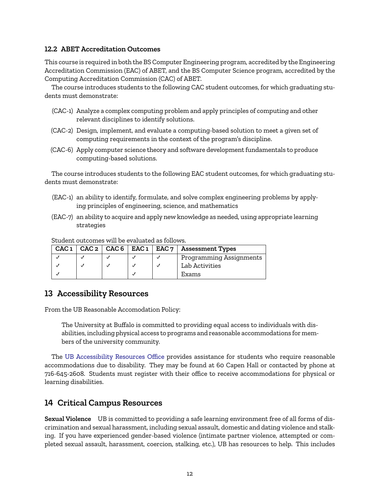## **12.2 ABET Accreditation Outcomes**

This course is required in both the BS Computer Engineering program, accredited by the Engineering Accreditation Commission (EAC) of ABET, and the BS Computer Science program, accredited by the Computing Accreditation Commission (CAC) of ABET.

The course introduces students to the following CAC student outcomes, for which graduating students must demonstrate:

- (CAC-1) Analyze a complex computing problem and apply principles of computing and other relevant disciplines to identify solutions.
- (CAC-2) Design, implement, and evaluate a computing-based solution to meet a given set of computing requirements in the context of the program's discipline.
- (CAC-6) Apply computer science theory and software development fundamentals to produce computing-based solutions.

The course introduces students to the following EAC student outcomes, for which graduating students must demonstrate:

- (EAC-1) an ability to identify, formulate, and solve complex engineering problems by applying principles of engineering, science, and mathematics
- (EAC-7) an ability to acquire and apply new knowledge as needed, using appropriate learning strategies

Student outcomes will be evaluated as follows.

| CAC <sub>1</sub> | CAC 2   CAC 6   EAC 1   EAC 7 |  | <b>Assessment Types</b> |
|------------------|-------------------------------|--|-------------------------|
|                  |                               |  | Programming Assignments |
|                  |                               |  | Lab Activities          |
|                  |                               |  | Exams                   |

# **13 Accessibility Resources**

From the UB Reasonable Accomodation Policy:

The University at Buffalo is committed to providing equal access to individuals with disabilities, including physical access to programs and reasonable accommodations for members of the university community.

The [UB Accessibility Resources Office](http://www.buffalo.edu/studentlife/who-we-are/departments/accessibility.html) provides assistance for students who require reasonable accommodations due to disability. They may be found at 60 Capen Hall or contacted by phone at 716-645-2608. Students must register with their office to receive accommodations for physical or learning disabilities.

# **14 Critical Campus Resources**

**Sexual Violence** UB is committed to providing a safe learning environment free of all forms of discrimination and sexual harassment, including sexual assault, domestic and dating violence and stalking. If you have experienced gender-based violence (intimate partner violence, attempted or completed sexual assault, harassment, coercion, stalking, etc.), UB has resources to help. This includes